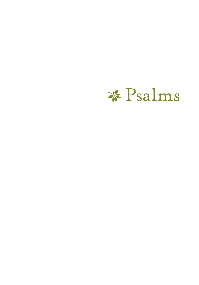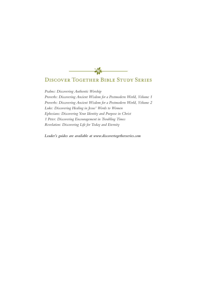#### Discover Together Bible Study Series

*Psalms: Discovering Authentic Worship Proverbs: Discovering Ancient Wisdom for a Postmodern World, Volume 1 Proverbs: Discovering Ancient Wisdom for a Postmodern World, Volume 2 Luke: Discovering Healing in Jesus' Words to Women Ephesians: Discovering Your Identity and Purpose in Christ 1 Peter: Discovering Encouragement in Troubling Times Revelation: Discovering Life for Today and Eternity*

*Leader's guides are available at www.discovertogetherseries.com*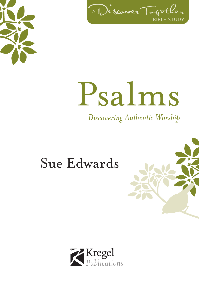



# Psalms

*Discovering Authentic Worship*

## Sue Edwards



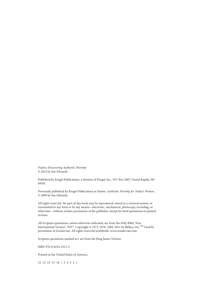*Psalms: Discovering Authentic Worship* © 2012 by Sue Edwards

Published by Kregel Publications, a division of Kregel, Inc., P.O. Box 2607, Grand Rapids, MI 49501.

Previously published by Kregel Publications as *Psalms: Authentic Worship for Today's Women*, © 2009 by Sue Edwards.

All rights reserved. No part of this book may be reproduced, stored in a retrieval system, or transmitted in any form or by any means—electronic, mechanical, photocopy, recording, or otherwise—without written permission of the publisher, except for brief quotations in printed reviews.

All Scripture quotations, unless otherwise indicated, are from the Holy Bible, New International Version®, NIV®. Copyright © 1973, 1978, 1984, 2011 by Biblica, Inc.TM Used by permission of Zondervan. All rights reserved worldwide. www.zondervan.com

Scripture quotations marked **KJV** are from the King James Version.

ISBN 978-0-8254-4311-4

Printed in the United States of America

12 13 14 15 16 / 5 4 3 2 1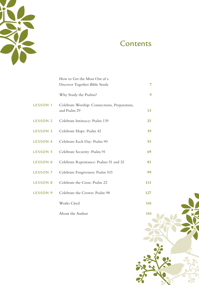

## **Contents**

|                 | How to Get the Most Out of a                                 |     |
|-----------------|--------------------------------------------------------------|-----|
|                 | Discover Together Bible Study                                | 7   |
|                 | Why Study the Psalms?                                        | 9   |
| <b>LESSON 1</b> | Celebrate Worship: Connections, Preparation,<br>and Psalm 29 | 13  |
| <b>LESSON 2</b> | Celebrate Intimacy: Psalm 139                                | 25  |
| <b>LESSON 3</b> | Celebrate Hope: Psalm 42                                     | 39  |
| <b>LESSON 4</b> | Celebrate Each Day: Psalm 90                                 | 55  |
| <b>LESSON 5</b> | Celebrate Security: Psalm 91                                 | 69  |
| <b>LESSON 6</b> | Celebrate Repentance: Psalms 51 and 32                       | 83  |
| <b>LESSON 7</b> | Celebrate Forgiveness: Psalm 103                             | 99  |
| <b>LESSON 8</b> | Celebrate the Cross: Psalm 22                                | 113 |
| LESSON 9        | Celebrate the Crown: Psalm 98                                | 127 |
|                 | Works Cited                                                  | 141 |
|                 | About the Author                                             | 143 |

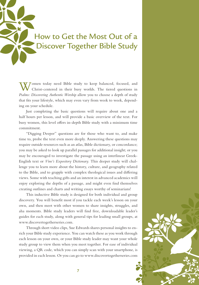### How to Get the Most Out of a Discover Together Bible Study

omen today need Bible study to keep balanced, focused, and Christ-centered in their busy worlds. The tiered questions in *Psalms: Discovering Authentic Worship* allow you to choose a depth of study that fits your lifestyle, which may even vary from week to week, depending on your schedule.

Just completing the basic questions will require about one and a half hours per lesson, and will provide a basic overview of the text. For busy women, this level offers in-depth Bible study with a minimum time commitment.

"Digging Deeper" questions are for those who want to, and make time to, probe the text even more deeply. Answering these questions may require outside resources such as an atlas, Bible dictionary, or concordance; you may be asked to look up parallel passages for additional insight; or you may be encouraged to investigate the passage using an interlinear Greek-English text or *Vine's Expository Dictionary*. This deeper study will challenge you to learn more about the history, culture, and geography related to the Bible, and to grapple with complex theological issues and differing views. Some with teaching gifts and an interest in advanced academics will enjoy exploring the depths of a passage, and might even find themselves creating outlines and charts and writing essays worthy of seminarians!

This inductive Bible study is designed for both individual and group discovery. You will benefit most if you tackle each week's lesson on your own, and then meet with other women to share insights, struggles, and aha moments. Bible study leaders will find free, downloadable leader's guides for each study, along with general tips for leading small groups, at www.discovertogetherseries.com.

Through short video clips, Sue Edwards shares personal insights to enrich your Bible study experience. You can watch these as you work through each lesson on your own, or your Bible study leader may want your whole study group to view them when you meet together. For ease of individual viewing, a QR code, which you can simply scan with your smartphone, is provided in each lesson. Or you can go to www.discovertogetherseries.com

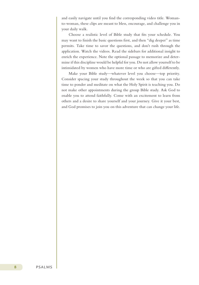and easily navigate until you find the corresponding video title. Womanto-woman, these clips are meant to bless, encourage, and challenge you in your daily walk.

Choose a realistic level of Bible study that fits your schedule. You may want to finish the basic questions first, and then "dig deeper" as time permits. Take time to savor the questions, and don't rush through the application. Watch the videos. Read the sidebars for additional insight to enrich the experience. Note the optional passage to memorize and determine if this discipline would be helpful for you. Do not allow yourself to be intimidated by women who have more time or who are gifted differently.

Make your Bible study—whatever level you choose—top priority. Consider spacing your study throughout the week so that you can take time to ponder and meditate on what the Holy Spirit is teaching you. Do not make other appointments during the group Bible study. Ask God to enable you to attend faithfully. Come with an excitement to learn from others and a desire to share yourself and your journey. Give it your best, and God promises to join you on this adventure that can change your life.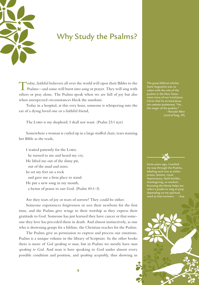

#### Why Study the Psalms?

Today, faithful believers all over the world will open their Bibles to the Psalms—and some will burst into song or prayer. They will sing with others or pray alone. The Psalms speak when we are full of joy but also when unexpected circumstances block the sunshine.

Today in a hospital, at this very hour, someone is whispering into the ear of a dying loved one or a faithful friend,

The LORD is my shepherd; I shall not want. (Psalm 23:1 KJV)

Somewhere a woman is curled up in a large stuffed chair, tears staining her Bible as she reads,

I waited patiently for the LORD; he turned to me and heard my cry. He lifted me out of the slimy pit, out of the mud and mire; he set my feet on a rock and gave me a firm place to stand. He put a new song in my mouth, a hymn of praise to our God. (Psalm 40:1–3)

Are they tears of joy or tears of sorrow? They could be either.

Someone experiences forgiveness or sees their newborn for the first time, and the Psalms give wings to their worship as they express their gratitude to God. Someone has just learned they have cancer or that someone they love has preceded them in death. And almost instinctively, as one who is drowning grasps for a lifeline, the Christian reaches for the Psalms.

The Psalms give us permission to express and process our emotions. Psalms is a unique volume in the library of Scripture. In the other books there is more of *God speaking to man*, but in Psalms we mostly have *man speaking to God*. And man is here speaking to God under almost every possible condition and position, and *speaking acceptably*, thus showing us

The great biblical scholar Saint Augustine was so taken with the role of the psalms in the New Testament story of our Lord Jesus Christ that he termed Jesus *iste cantator psalmorum*, "He, the singer of the psalms." —Ronald Allen (*Lord of Song*, 39)



ome years ago, I worked my way through the Psalms, labeling each one as either praise, lament, royal, imprecatory, faith-builder, thanksgiving, or wisdom. Knowing the theme helps me select a psalm to sing or pray depending on my spiritual need at that moment. - Su

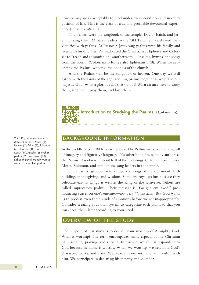how *we* may speak acceptably to God under every condition and in every position of life. This is the crux of true and profitable devotional experience (Jensen, *Psalms*, 14).

The Psalms were the songbook of the temple. David, Isaiah, and Jeremiah sang them. Military leaders in the Old Testament celebrated their victories with psalms. At Passover, Jesus sang psalms with his family and later with his disciples. Paul exhorted the Christians at Ephesus and Colossae to "teach and admonish one another with . . . psalms, hymns, and songs from the Spirit" (Colossians 3:16; see also Ephesians 5:19). When we pray or sing the Psalms, we sense the oneness of the church.

And the Psalms will be the songbook of heaven. One day we will gather with the saints of the ages and sing psalms together as we praise our majestic God. What a glorious day that will be! What an incentive to study them, sing them, pray them, and love them.



#### Background Information

In the middle of your Bible is a songbook. The Psalms are lyrical poetry, full of imagery and figurative language. No other book has as many authors as the Psalms. David wrote about half of the 150 songs. Other authors include Moses, Solomon, and some of the song leaders in the temple.

They can be grouped into categories: songs of praise, lament, faith building, thanksgiving, and wisdom. Some are royal psalms because they celebrate earthly kings as well as the King of the Universe. Others are called imprecatory psalms. Their message is "Go get 'em, God," pronouncing curses on one's enemies—not very "Christian." But God wants us to process even these kinds of emotions before we act inappropriately. Consider creating your own system to categorize each psalm so that you can access them later according to your need.

#### Overview of the Study

The purpose of this study is to deepen your worship of Almighty God. What is worship? The term encompasses many aspects of the Christian life—singing, praying, and serving. In essence, worship is responding to God because he alone is worthy. When we worship, we celebrate God's character, works, and plans. We rejoice in our intimate relationship with him. We participate in declaring his majesty and splendor.

The 150 psalms are penned by different authors: Moses (1), Heman (1), Ethan (1), Solomon (2), Hezekiah (10), Sons of Korah (11), Asaph (12), orphan psalms (39), and David (73), although David probably wrote some of the orphan psalms.